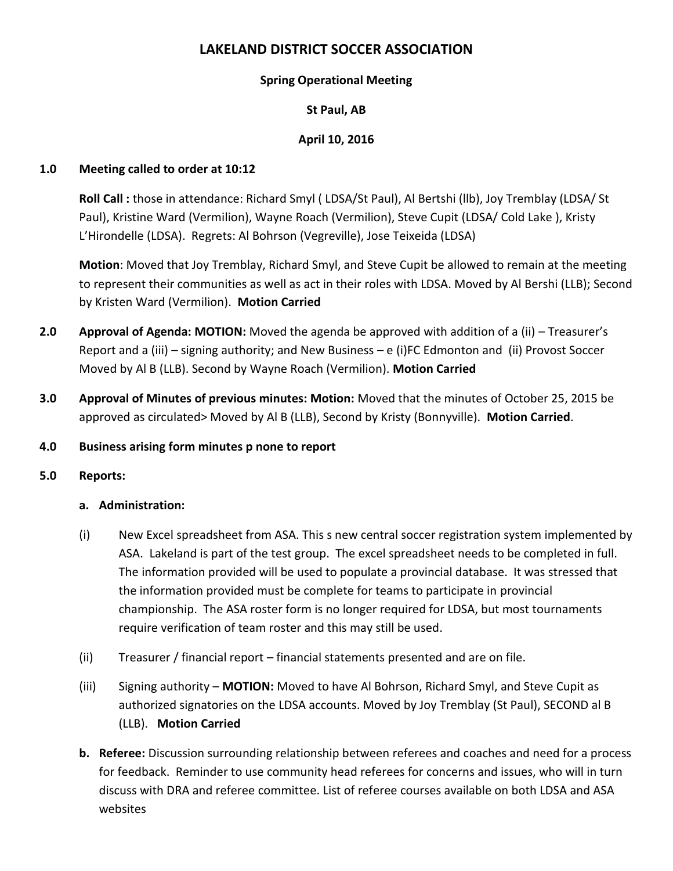# **LAKELAND DISTRICT SOCCER ASSOCIATION**

## **Spring Operational Meeting**

## **St Paul, AB**

## **April 10, 2016**

#### **1.0 Meeting called to order at 10:12**

**Roll Call :** those in attendance: Richard Smyl ( LDSA/St Paul), Al Bertshi (llb), Joy Tremblay (LDSA/ St Paul), Kristine Ward (Vermilion), Wayne Roach (Vermilion), Steve Cupit (LDSA/ Cold Lake ), Kristy L'Hirondelle (LDSA). Regrets: Al Bohrson (Vegreville), Jose Teixeida (LDSA)

**Motion**: Moved that Joy Tremblay, Richard Smyl, and Steve Cupit be allowed to remain at the meeting to represent their communities as well as act in their roles with LDSA. Moved by Al Bershi (LLB); Second by Kristen Ward (Vermilion). **Motion Carried**

- **2.0 Approval of Agenda: MOTION:** Moved the agenda be approved with addition of a (ii) Treasurer's Report and a (iii) – signing authority; and New Business – e (i)FC Edmonton and (ii) Provost Soccer Moved by Al B (LLB). Second by Wayne Roach (Vermilion). **Motion Carried**
- **3.0 Approval of Minutes of previous minutes: Motion:** Moved that the minutes of October 25, 2015 be approved as circulated> Moved by Al B (LLB), Second by Kristy (Bonnyville). **Motion Carried**.

#### **4.0 Business arising form minutes p none to report**

#### **5.0 Reports:**

#### **a. Administration:**

- (i) New Excel spreadsheet from ASA. This s new central soccer registration system implemented by ASA. Lakeland is part of the test group. The excel spreadsheet needs to be completed in full. The information provided will be used to populate a provincial database. It was stressed that the information provided must be complete for teams to participate in provincial championship. The ASA roster form is no longer required for LDSA, but most tournaments require verification of team roster and this may still be used.
- (ii) Treasurer / financial report financial statements presented and are on file.
- (iii) Signing authority **MOTION:** Moved to have Al Bohrson, Richard Smyl, and Steve Cupit as authorized signatories on the LDSA accounts. Moved by Joy Tremblay (St Paul), SECOND al B (LLB). **Motion Carried**
- **b. Referee:** Discussion surrounding relationship between referees and coaches and need for a process for feedback. Reminder to use community head referees for concerns and issues, who will in turn discuss with DRA and referee committee. List of referee courses available on both LDSA and ASA websites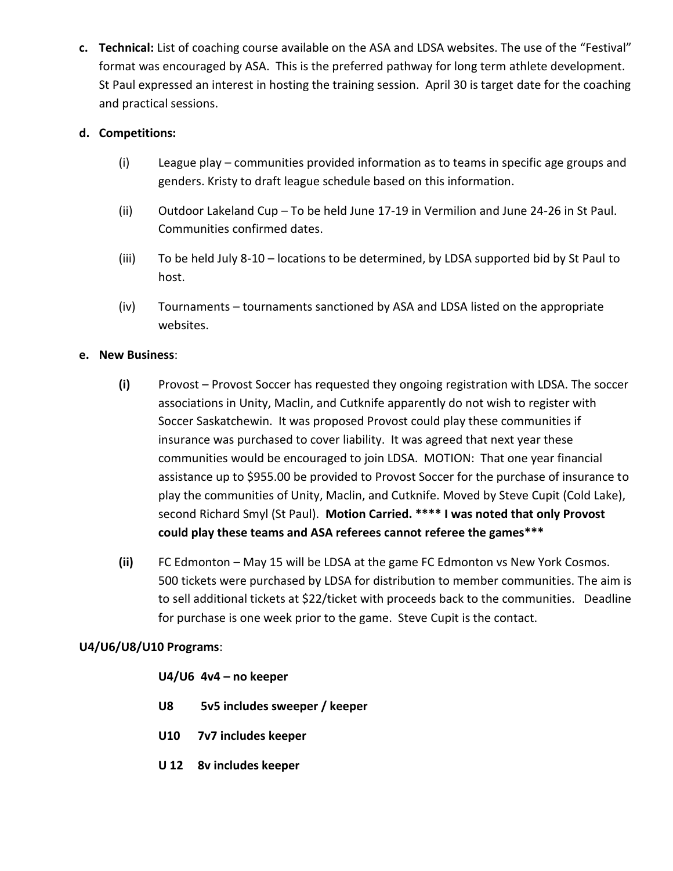**c. Technical:** List of coaching course available on the ASA and LDSA websites. The use of the "Festival" format was encouraged by ASA. This is the preferred pathway for long term athlete development. St Paul expressed an interest in hosting the training session. April 30 is target date for the coaching and practical sessions.

#### **d. Competitions:**

- (i) League play communities provided information as to teams in specific age groups and genders. Kristy to draft league schedule based on this information.
- (ii) Outdoor Lakeland Cup To be held June 17-19 in Vermilion and June 24-26 in St Paul. Communities confirmed dates.
- (iii) To be held July 8-10 locations to be determined, by LDSA supported bid by St Paul to host.
- (iv) Tournaments tournaments sanctioned by ASA and LDSA listed on the appropriate websites.

#### **e. New Business**:

- **(i)** Provost Provost Soccer has requested they ongoing registration with LDSA. The soccer associations in Unity, Maclin, and Cutknife apparently do not wish to register with Soccer Saskatchewin. It was proposed Provost could play these communities if insurance was purchased to cover liability. It was agreed that next year these communities would be encouraged to join LDSA. MOTION: That one year financial assistance up to \$955.00 be provided to Provost Soccer for the purchase of insurance to play the communities of Unity, Maclin, and Cutknife. Moved by Steve Cupit (Cold Lake), second Richard Smyl (St Paul). **Motion Carried. \*\*\*\* I was noted that only Provost could play these teams and ASA referees cannot referee the games\*\*\***
- **(ii)** FC Edmonton May 15 will be LDSA at the game FC Edmonton vs New York Cosmos. 500 tickets were purchased by LDSA for distribution to member communities. The aim is to sell additional tickets at \$22/ticket with proceeds back to the communities. Deadline for purchase is one week prior to the game. Steve Cupit is the contact.

#### **U4/U6/U8/U10 Programs**:

#### **U4/U6 4v4 – no keeper**

- **U8 5v5 includes sweeper / keeper**
- **U10 7v7 includes keeper**
- **U 12 8v includes keeper**